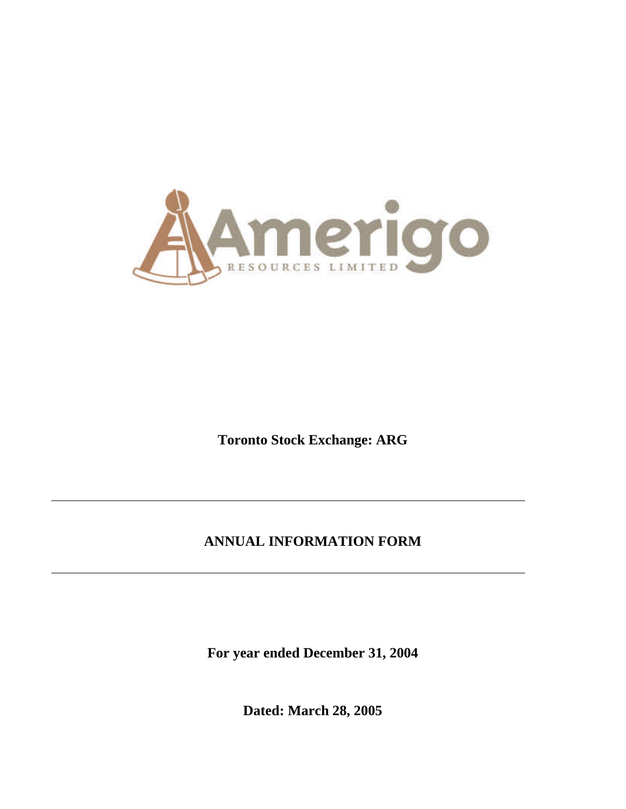

**Toronto Stock Exchange: ARG**

# **ANNUAL INFORMATION FORM**

**For year ended December 31, 2004**

**Dated: March 28, 2005**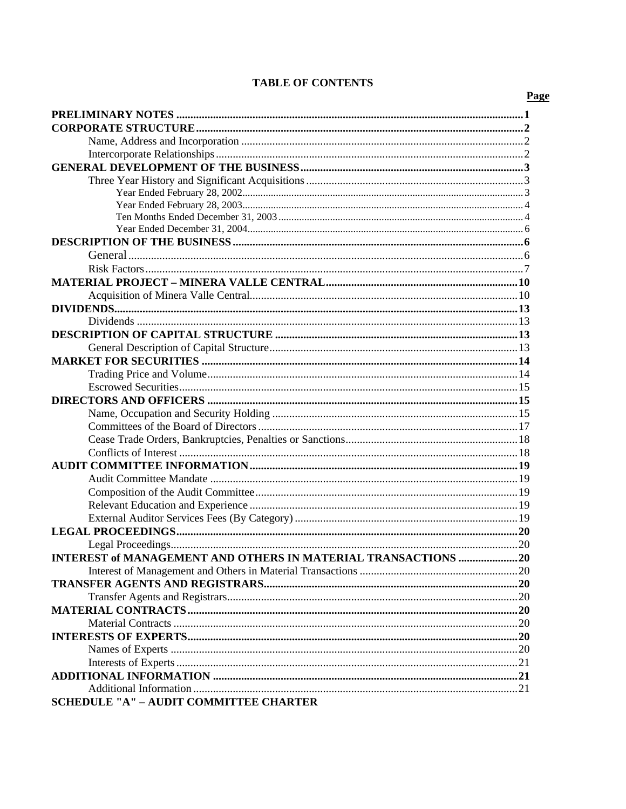### **TABLE OF CONTENTS**

| INTEREST of MANAGEMENT AND OTHERS IN MATERIAL TRANSACTIONS 20 |  |
|---------------------------------------------------------------|--|
|                                                               |  |
|                                                               |  |
|                                                               |  |
|                                                               |  |
|                                                               |  |
|                                                               |  |
|                                                               |  |
|                                                               |  |
|                                                               |  |
|                                                               |  |
| <b>SCHEDULE "A" - AUDIT COMMITTEE CHARTER</b>                 |  |

### Page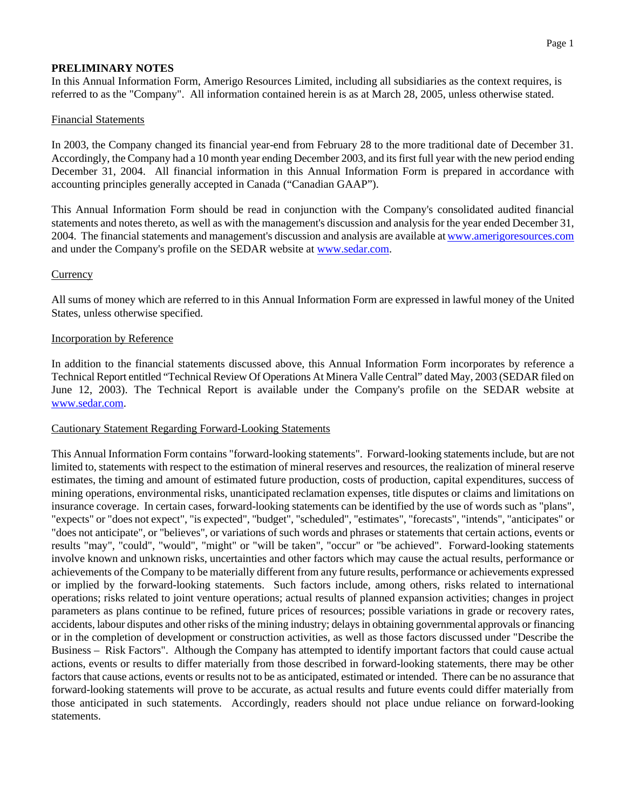### **PRELIMINARY NOTES**

In this Annual Information Form, Amerigo Resources Limited, including all subsidiaries as the context requires, is referred to as the "Company". All information contained herein is as at March 28, 2005, unless otherwise stated.

#### Financial Statements

In 2003, the Company changed its financial year-end from February 28 to the more traditional date of December 31. Accordingly, the Company had a 10 month year ending December 2003, and its first full year with the new period ending December 31, 2004. All financial information in this Annual Information Form is prepared in accordance with accounting principles generally accepted in Canada ("Canadian GAAP").

This Annual Information Form should be read in conjunction with the Company's consolidated audited financial statements and notes thereto, as well as with the management's discussion and analysis for the year ended December 31, 2004. The financial statements and management's discussion and analysis are available at www.amerigoresources.com and under the Company's profile on the SEDAR website at www.sedar.com.

#### **Currency**

All sums of money which are referred to in this Annual Information Form are expressed in lawful money of the United States, unless otherwise specified.

#### Incorporation by Reference

In addition to the financial statements discussed above, this Annual Information Form incorporates by reference a Technical Report entitled "Technical Review Of Operations At Minera Valle Central" dated May, 2003 (SEDAR filed on June 12, 2003). The Technical Report is available under the Company's profile on the SEDAR website at www.sedar.com.

#### Cautionary Statement Regarding Forward-Looking Statements

This Annual Information Form contains "forward-looking statements". Forward-looking statements include, but are not limited to, statements with respect to the estimation of mineral reserves and resources, the realization of mineral reserve estimates, the timing and amount of estimated future production, costs of production, capital expenditures, success of mining operations, environmental risks, unanticipated reclamation expenses, title disputes or claims and limitations on insurance coverage. In certain cases, forward-looking statements can be identified by the use of words such as "plans", "expects" or "does not expect", "is expected", "budget", "scheduled", "estimates", "forecasts", "intends", "anticipates" or "does not anticipate", or "believes", or variations of such words and phrases or statements that certain actions, events or results "may", "could", "would", "might" or "will be taken", "occur" or "be achieved". Forward-looking statements involve known and unknown risks, uncertainties and other factors which may cause the actual results, performance or achievements of the Company to be materially different from any future results, performance or achievements expressed or implied by the forward-looking statements. Such factors include, among others, risks related to international operations; risks related to joint venture operations; actual results of planned expansion activities; changes in project parameters as plans continue to be refined, future prices of resources; possible variations in grade or recovery rates, accidents, labour disputes and other risks of the mining industry; delays in obtaining governmental approvals or financing or in the completion of development or construction activities, as well as those factors discussed under "Describe the Business – Risk Factors". Although the Company has attempted to identify important factors that could cause actual actions, events or results to differ materially from those described in forward-looking statements, there may be other factors that cause actions, events or results not to be as anticipated, estimated or intended. There can be no assurance that forward-looking statements will prove to be accurate, as actual results and future events could differ materially from those anticipated in such statements. Accordingly, readers should not place undue reliance on forward-looking statements.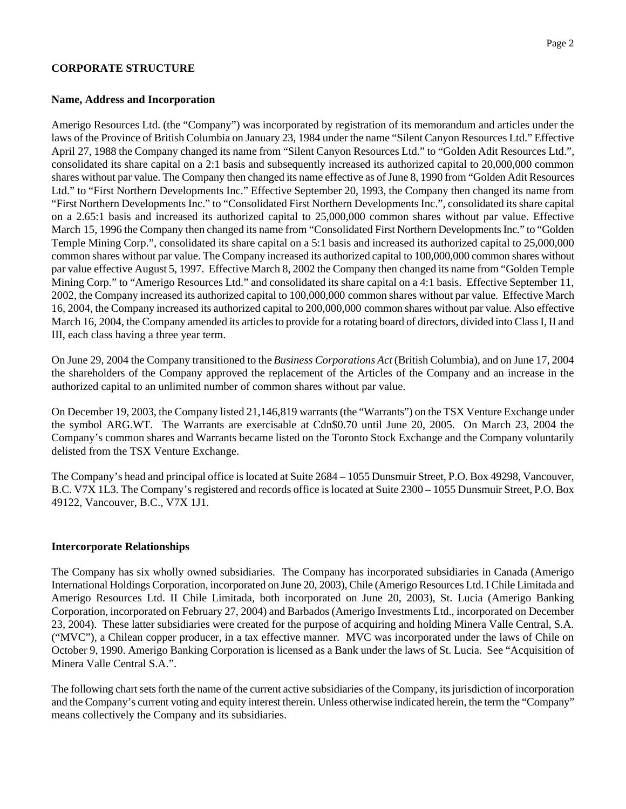#### **CORPORATE STRUCTURE**

#### **Name, Address and Incorporation**

Amerigo Resources Ltd. (the "Company") was incorporated by registration of its memorandum and articles under the laws of the Province of British Columbia on January 23, 1984 under the name "Silent Canyon Resources Ltd." Effective April 27, 1988 the Company changed its name from "Silent Canyon Resources Ltd." to "Golden Adit Resources Ltd.", consolidated its share capital on a 2:1 basis and subsequently increased its authorized capital to 20,000,000 common shares without par value. The Company then changed its name effective as of June 8, 1990 from "Golden Adit Resources Ltd." to "First Northern Developments Inc." Effective September 20, 1993, the Company then changed its name from "First Northern Developments Inc." to "Consolidated First Northern Developments Inc.", consolidated its share capital on a 2.65:1 basis and increased its authorized capital to 25,000,000 common shares without par value. Effective March 15, 1996 the Company then changed its name from "Consolidated First Northern Developments Inc." to "Golden Temple Mining Corp.", consolidated its share capital on a 5:1 basis and increased its authorized capital to 25,000,000 common shares without par value. The Company increased its authorized capital to 100,000,000 common shares without par value effective August 5, 1997. Effective March 8, 2002 the Company then changed its name from "Golden Temple Mining Corp." to "Amerigo Resources Ltd." and consolidated its share capital on a 4:1 basis. Effective September 11, 2002, the Company increased its authorized capital to 100,000,000 common shares without par value. Effective March 16, 2004, the Company increased its authorized capital to 200,000,000 common shares without par value. Also effective March 16, 2004, the Company amended its articles to provide for a rotating board of directors, divided into Class I, II and III, each class having a three year term.

On June 29, 2004 the Company transitioned to the *Business Corporations Act* (British Columbia), and on June 17, 2004 the shareholders of the Company approved the replacement of the Articles of the Company and an increase in the authorized capital to an unlimited number of common shares without par value.

On December 19, 2003, the Company listed 21,146,819 warrants (the "Warrants") on the TSX Venture Exchange under the symbol ARG.WT. The Warrants are exercisable at Cdn\$0.70 until June 20, 2005. On March 23, 2004 the Company's common shares and Warrants became listed on the Toronto Stock Exchange and the Company voluntarily delisted from the TSX Venture Exchange.

The Company's head and principal office is located at Suite 2684 – 1055 Dunsmuir Street, P.O. Box 49298, Vancouver, B.C. V7X 1L3. The Company's registered and records office is located at Suite 2300 – 1055 Dunsmuir Street, P.O. Box 49122, Vancouver, B.C., V7X 1J1.

#### **Intercorporate Relationships**

The Company has six wholly owned subsidiaries. The Company has incorporated subsidiaries in Canada (Amerigo International Holdings Corporation, incorporated on June 20, 2003), Chile (Amerigo Resources Ltd. I Chile Limitada and Amerigo Resources Ltd. II Chile Limitada, both incorporated on June 20, 2003), St. Lucia (Amerigo Banking Corporation, incorporated on February 27, 2004) and Barbados (Amerigo Investments Ltd., incorporated on December 23, 2004). These latter subsidiaries were created for the purpose of acquiring and holding Minera Valle Central, S.A. ("MVC"), a Chilean copper producer, in a tax effective manner. MVC was incorporated under the laws of Chile on October 9, 1990. Amerigo Banking Corporation is licensed as a Bank under the laws of St. Lucia. See "Acquisition of Minera Valle Central S.A.".

The following chart sets forth the name of the current active subsidiaries of the Company, its jurisdiction of incorporation and the Company's current voting and equity interest therein. Unless otherwise indicated herein, the term the "Company" means collectively the Company and its subsidiaries.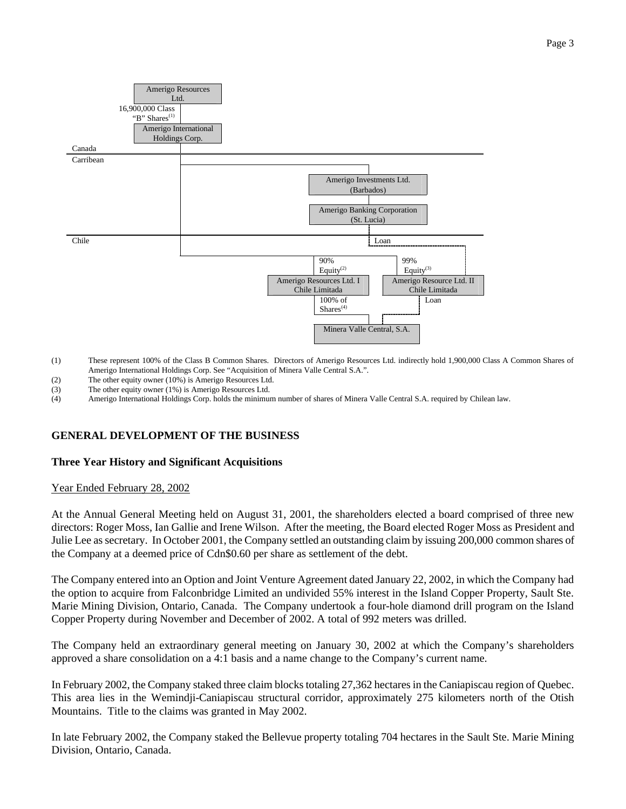

- (1) These represent 100% of the Class B Common Shares. Directors of Amerigo Resources Ltd. indirectly hold 1,900,000 Class A Common Shares of Amerigo International Holdings Corp. See "Acquisition of Minera Valle Central S.A.".
- (2) The other equity owner (10%) is Amerigo Resources Ltd.
- (3) The other equity owner (1%) is Amerigo Resources Ltd.

(4) Amerigo International Holdings Corp. holds the minimum number of shares of Minera Valle Central S.A. required by Chilean law.

#### **GENERAL DEVELOPMENT OF THE BUSINESS**

#### **Three Year History and Significant Acquisitions**

#### Year Ended February 28, 2002

At the Annual General Meeting held on August 31, 2001, the shareholders elected a board comprised of three new directors: Roger Moss, Ian Gallie and Irene Wilson. After the meeting, the Board elected Roger Moss as President and Julie Lee as secretary. In October 2001, the Company settled an outstanding claim by issuing 200,000 common shares of the Company at a deemed price of Cdn\$0.60 per share as settlement of the debt.

The Company entered into an Option and Joint Venture Agreement dated January 22, 2002, in which the Company had the option to acquire from Falconbridge Limited an undivided 55% interest in the Island Copper Property, Sault Ste. Marie Mining Division, Ontario, Canada. The Company undertook a four-hole diamond drill program on the Island Copper Property during November and December of 2002. A total of 992 meters was drilled.

The Company held an extraordinary general meeting on January 30, 2002 at which the Company's shareholders approved a share consolidation on a 4:1 basis and a name change to the Company's current name.

In February 2002, the Company staked three claim blocks totaling 27,362 hectares in the Caniapiscau region of Quebec. This area lies in the Wemindji-Caniapiscau structural corridor, approximately 275 kilometers north of the Otish Mountains. Title to the claims was granted in May 2002.

In late February 2002, the Company staked the Bellevue property totaling 704 hectares in the Sault Ste. Marie Mining Division, Ontario, Canada.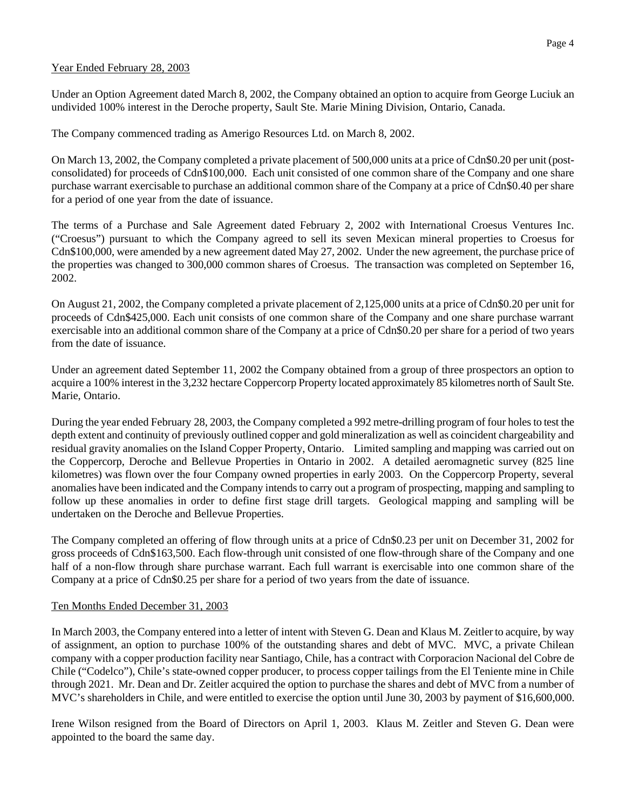#### Year Ended February 28, 2003

Under an Option Agreement dated March 8, 2002, the Company obtained an option to acquire from George Luciuk an undivided 100% interest in the Deroche property, Sault Ste. Marie Mining Division, Ontario, Canada.

The Company commenced trading as Amerigo Resources Ltd. on March 8, 2002.

On March 13, 2002, the Company completed a private placement of 500,000 units at a price of Cdn\$0.20 per unit (postconsolidated) for proceeds of Cdn\$100,000. Each unit consisted of one common share of the Company and one share purchase warrant exercisable to purchase an additional common share of the Company at a price of Cdn\$0.40 per share for a period of one year from the date of issuance.

The terms of a Purchase and Sale Agreement dated February 2, 2002 with International Croesus Ventures Inc. ("Croesus") pursuant to which the Company agreed to sell its seven Mexican mineral properties to Croesus for Cdn\$100,000, were amended by a new agreement dated May 27, 2002. Under the new agreement, the purchase price of the properties was changed to 300,000 common shares of Croesus. The transaction was completed on September 16, 2002.

On August 21, 2002, the Company completed a private placement of 2,125,000 units at a price of Cdn\$0.20 per unit for proceeds of Cdn\$425,000. Each unit consists of one common share of the Company and one share purchase warrant exercisable into an additional common share of the Company at a price of Cdn\$0.20 per share for a period of two years from the date of issuance.

Under an agreement dated September 11, 2002 the Company obtained from a group of three prospectors an option to acquire a 100% interest in the 3,232 hectare Coppercorp Property located approximately 85 kilometres north of Sault Ste. Marie, Ontario.

During the year ended February 28, 2003, the Company completed a 992 metre-drilling program of four holes to test the depth extent and continuity of previously outlined copper and gold mineralization as well as coincident chargeability and residual gravity anomalies on the Island Copper Property, Ontario. Limited sampling and mapping was carried out on the Coppercorp, Deroche and Bellevue Properties in Ontario in 2002. A detailed aeromagnetic survey (825 line kilometres) was flown over the four Company owned properties in early 2003. On the Coppercorp Property, several anomalies have been indicated and the Company intends to carry out a program of prospecting, mapping and sampling to follow up these anomalies in order to define first stage drill targets. Geological mapping and sampling will be undertaken on the Deroche and Bellevue Properties.

The Company completed an offering of flow through units at a price of Cdn\$0.23 per unit on December 31, 2002 for gross proceeds of Cdn\$163,500. Each flow-through unit consisted of one flow-through share of the Company and one half of a non-flow through share purchase warrant. Each full warrant is exercisable into one common share of the Company at a price of Cdn\$0.25 per share for a period of two years from the date of issuance.

#### Ten Months Ended December 31, 2003

In March 2003, the Company entered into a letter of intent with Steven G. Dean and Klaus M. Zeitler to acquire, by way of assignment, an option to purchase 100% of the outstanding shares and debt of MVC. MVC, a private Chilean company with a copper production facility near Santiago, Chile, has a contract with Corporacion Nacional del Cobre de Chile ("Codelco"), Chile's state-owned copper producer, to process copper tailings from the El Teniente mine in Chile through 2021. Mr. Dean and Dr. Zeitler acquired the option to purchase the shares and debt of MVC from a number of MVC's shareholders in Chile, and were entitled to exercise the option until June 30, 2003 by payment of \$16,600,000.

Irene Wilson resigned from the Board of Directors on April 1, 2003. Klaus M. Zeitler and Steven G. Dean were appointed to the board the same day.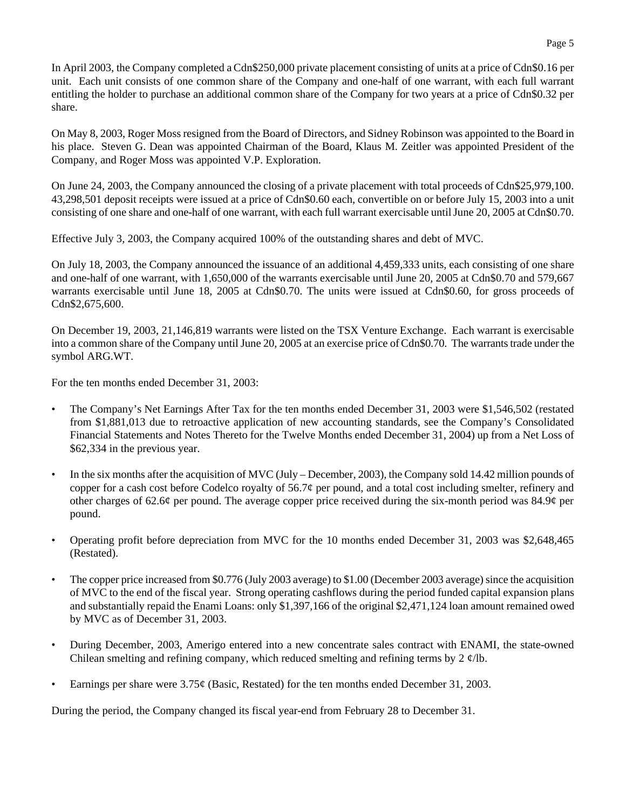In April 2003, the Company completed a Cdn\$250,000 private placement consisting of units at a price of Cdn\$0.16 per unit. Each unit consists of one common share of the Company and one-half of one warrant, with each full warrant entitling the holder to purchase an additional common share of the Company for two years at a price of Cdn\$0.32 per share.

On May 8, 2003, Roger Moss resigned from the Board of Directors, and Sidney Robinson was appointed to the Board in his place. Steven G. Dean was appointed Chairman of the Board, Klaus M. Zeitler was appointed President of the Company, and Roger Moss was appointed V.P. Exploration.

On June 24, 2003, the Company announced the closing of a private placement with total proceeds of Cdn\$25,979,100. 43,298,501 deposit receipts were issued at a price of Cdn\$0.60 each, convertible on or before July 15, 2003 into a unit consisting of one share and one-half of one warrant, with each full warrant exercisable until June 20, 2005 at Cdn\$0.70.

Effective July 3, 2003, the Company acquired 100% of the outstanding shares and debt of MVC.

On July 18, 2003, the Company announced the issuance of an additional 4,459,333 units, each consisting of one share and one-half of one warrant, with 1,650,000 of the warrants exercisable until June 20, 2005 at Cdn\$0.70 and 579,667 warrants exercisable until June 18, 2005 at Cdn\$0.70. The units were issued at Cdn\$0.60, for gross proceeds of Cdn\$2,675,600.

On December 19, 2003, 21,146,819 warrants were listed on the TSX Venture Exchange. Each warrant is exercisable into a common share of the Company until June 20, 2005 at an exercise price of Cdn\$0.70. The warrants trade under the symbol ARG.WT.

For the ten months ended December 31, 2003:

- The Company's Net Earnings After Tax for the ten months ended December 31, 2003 were \$1,546,502 (restated from \$1,881,013 due to retroactive application of new accounting standards, see the Company's Consolidated Financial Statements and Notes Thereto for the Twelve Months ended December 31, 2004) up from a Net Loss of \$62,334 in the previous year.
- In the six months after the acquisition of MVC (July December, 2003), the Company sold 14.42 million pounds of copper for a cash cost before Codelco royalty of  $56.7\phi$  per pound, and a total cost including smelter, refinery and other charges of 62.6¢ per pound. The average copper price received during the six-month period was 84.9¢ per pound.
- Operating profit before depreciation from MVC for the 10 months ended December 31, 2003 was \$2,648,465 (Restated).
- The copper price increased from \$0.776 (July 2003 average) to \$1.00 (December 2003 average) since the acquisition of MVC to the end of the fiscal year. Strong operating cashflows during the period funded capital expansion plans and substantially repaid the Enami Loans: only \$1,397,166 of the original \$2,471,124 loan amount remained owed by MVC as of December 31, 2003.
- During December, 2003, Amerigo entered into a new concentrate sales contract with ENAMI, the state-owned Chilean smelting and refining company, which reduced smelting and refining terms by 2 ¢/lb.
- Earnings per share were 3.75¢ (Basic, Restated) for the ten months ended December 31, 2003.

During the period, the Company changed its fiscal year-end from February 28 to December 31.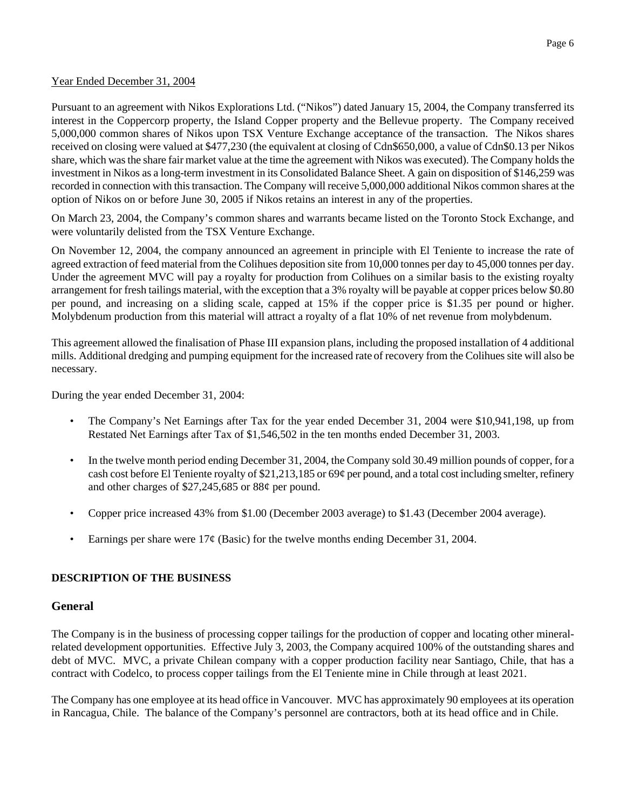#### Year Ended December 31, 2004

Pursuant to an agreement with Nikos Explorations Ltd. ("Nikos") dated January 15, 2004, the Company transferred its interest in the Coppercorp property, the Island Copper property and the Bellevue property. The Company received 5,000,000 common shares of Nikos upon TSX Venture Exchange acceptance of the transaction. The Nikos shares received on closing were valued at \$477,230 (the equivalent at closing of Cdn\$650,000, a value of Cdn\$0.13 per Nikos share, which was the share fair market value at the time the agreement with Nikos was executed). The Company holds the investment in Nikos as a long-term investment in its Consolidated Balance Sheet. A gain on disposition of \$146,259 was recorded in connection with this transaction. The Company will receive 5,000,000 additional Nikos common shares at the option of Nikos on or before June 30, 2005 if Nikos retains an interest in any of the properties.

On March 23, 2004, the Company's common shares and warrants became listed on the Toronto Stock Exchange, and were voluntarily delisted from the TSX Venture Exchange.

On November 12, 2004, the company announced an agreement in principle with El Teniente to increase the rate of agreed extraction of feed material from the Colihues deposition site from 10,000 tonnes per day to 45,000 tonnes per day. Under the agreement MVC will pay a royalty for production from Colihues on a similar basis to the existing royalty arrangement for fresh tailings material, with the exception that a 3% royalty will be payable at copper prices below \$0.80 per pound, and increasing on a sliding scale, capped at 15% if the copper price is \$1.35 per pound or higher. Molybdenum production from this material will attract a royalty of a flat 10% of net revenue from molybdenum.

This agreement allowed the finalisation of Phase III expansion plans, including the proposed installation of 4 additional mills. Additional dredging and pumping equipment for the increased rate of recovery from the Colihues site will also be necessary.

During the year ended December 31, 2004:

- The Company's Net Earnings after Tax for the year ended December 31, 2004 were \$10,941,198, up from Restated Net Earnings after Tax of \$1,546,502 in the ten months ended December 31, 2003.
- In the twelve month period ending December 31, 2004, the Company sold 30.49 million pounds of copper, for a cash cost before El Teniente royalty of \$21,213,185 or 69¢ per pound, and a total cost including smelter, refinery and other charges of \$27,245,685 or 88¢ per pound.
- Copper price increased 43% from \$1.00 (December 2003 average) to \$1.43 (December 2004 average).
- Earnings per share were  $17¢$  (Basic) for the twelve months ending December 31, 2004.

## **DESCRIPTION OF THE BUSINESS**

## **General**

The Company is in the business of processing copper tailings for the production of copper and locating other mineralrelated development opportunities. Effective July 3, 2003, the Company acquired 100% of the outstanding shares and debt of MVC. MVC, a private Chilean company with a copper production facility near Santiago, Chile, that has a contract with Codelco, to process copper tailings from the El Teniente mine in Chile through at least 2021.

The Company has one employee at its head office in Vancouver. MVC has approximately 90 employees at its operation in Rancagua, Chile. The balance of the Company's personnel are contractors, both at its head office and in Chile.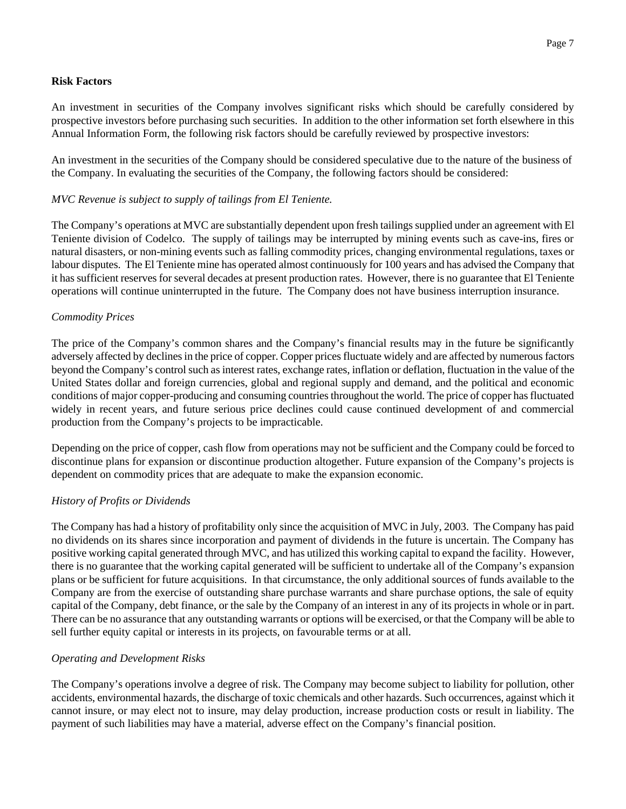### **Risk Factors**

An investment in securities of the Company involves significant risks which should be carefully considered by prospective investors before purchasing such securities. In addition to the other information set forth elsewhere in this Annual Information Form, the following risk factors should be carefully reviewed by prospective investors:

An investment in the securities of the Company should be considered speculative due to the nature of the business of the Company. In evaluating the securities of the Company, the following factors should be considered:

### *MVC Revenue is subject to supply of tailings from El Teniente.*

The Company's operations at MVC are substantially dependent upon fresh tailings supplied under an agreement with El Teniente division of Codelco. The supply of tailings may be interrupted by mining events such as cave-ins, fires or natural disasters, or non-mining events such as falling commodity prices, changing environmental regulations, taxes or labour disputes. The El Teniente mine has operated almost continuously for 100 years and has advised the Company that it has sufficient reserves for several decades at present production rates. However, there is no guarantee that El Teniente operations will continue uninterrupted in the future. The Company does not have business interruption insurance.

### *Commodity Prices*

The price of the Company's common shares and the Company's financial results may in the future be significantly adversely affected by declines in the price of copper. Copper prices fluctuate widely and are affected by numerous factors beyond the Company's control such as interest rates, exchange rates, inflation or deflation, fluctuation in the value of the United States dollar and foreign currencies, global and regional supply and demand, and the political and economic conditions of major copper-producing and consuming countries throughout the world. The price of copper has fluctuated widely in recent years, and future serious price declines could cause continued development of and commercial production from the Company's projects to be impracticable.

Depending on the price of copper, cash flow from operations may not be sufficient and the Company could be forced to discontinue plans for expansion or discontinue production altogether. Future expansion of the Company's projects is dependent on commodity prices that are adequate to make the expansion economic.

## *History of Profits or Dividends*

The Company has had a history of profitability only since the acquisition of MVC in July, 2003. The Company has paid no dividends on its shares since incorporation and payment of dividends in the future is uncertain. The Company has positive working capital generated through MVC, and has utilized this working capital to expand the facility. However, there is no guarantee that the working capital generated will be sufficient to undertake all of the Company's expansion plans or be sufficient for future acquisitions. In that circumstance, the only additional sources of funds available to the Company are from the exercise of outstanding share purchase warrants and share purchase options, the sale of equity capital of the Company, debt finance, or the sale by the Company of an interest in any of its projects in whole or in part. There can be no assurance that any outstanding warrants or options will be exercised, or that the Company will be able to sell further equity capital or interests in its projects, on favourable terms or at all.

#### *Operating and Development Risks*

The Company's operations involve a degree of risk. The Company may become subject to liability for pollution, other accidents, environmental hazards, the discharge of toxic chemicals and other hazards. Such occurrences, against which it cannot insure, or may elect not to insure, may delay production, increase production costs or result in liability. The payment of such liabilities may have a material, adverse effect on the Company's financial position.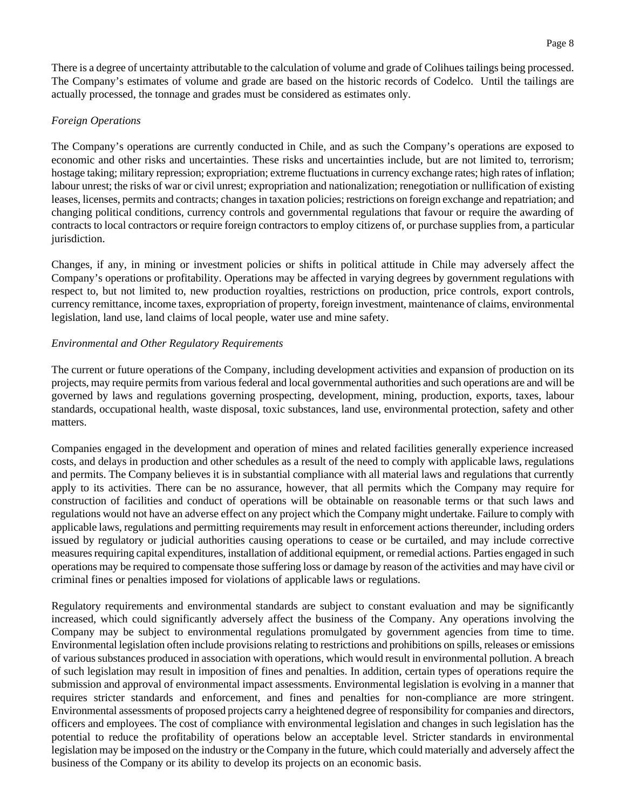There is a degree of uncertainty attributable to the calculation of volume and grade of Colihues tailings being processed. The Company's estimates of volume and grade are based on the historic records of Codelco. Until the tailings are actually processed, the tonnage and grades must be considered as estimates only.

#### *Foreign Operations*

The Company's operations are currently conducted in Chile, and as such the Company's operations are exposed to economic and other risks and uncertainties. These risks and uncertainties include, but are not limited to, terrorism; hostage taking; military repression; expropriation; extreme fluctuations in currency exchange rates; high rates of inflation; labour unrest; the risks of war or civil unrest; expropriation and nationalization; renegotiation or nullification of existing leases, licenses, permits and contracts; changes in taxation policies; restrictions on foreign exchange and repatriation; and changing political conditions, currency controls and governmental regulations that favour or require the awarding of contracts to local contractors or require foreign contractors to employ citizens of, or purchase supplies from, a particular jurisdiction.

Changes, if any, in mining or investment policies or shifts in political attitude in Chile may adversely affect the Company's operations or profitability. Operations may be affected in varying degrees by government regulations with respect to, but not limited to, new production royalties, restrictions on production, price controls, export controls, currency remittance, income taxes, expropriation of property, foreign investment, maintenance of claims, environmental legislation, land use, land claims of local people, water use and mine safety.

### *Environmental and Other Regulatory Requirements*

The current or future operations of the Company, including development activities and expansion of production on its projects, may require permits from various federal and local governmental authorities and such operations are and will be governed by laws and regulations governing prospecting, development, mining, production, exports, taxes, labour standards, occupational health, waste disposal, toxic substances, land use, environmental protection, safety and other matters.

Companies engaged in the development and operation of mines and related facilities generally experience increased costs, and delays in production and other schedules as a result of the need to comply with applicable laws, regulations and permits. The Company believes it is in substantial compliance with all material laws and regulations that currently apply to its activities. There can be no assurance, however, that all permits which the Company may require for construction of facilities and conduct of operations will be obtainable on reasonable terms or that such laws and regulations would not have an adverse effect on any project which the Company might undertake. Failure to comply with applicable laws, regulations and permitting requirements may result in enforcement actions thereunder, including orders issued by regulatory or judicial authorities causing operations to cease or be curtailed, and may include corrective measures requiring capital expenditures, installation of additional equipment, or remedial actions. Parties engaged in such operations may be required to compensate those suffering loss or damage by reason of the activities and may have civil or criminal fines or penalties imposed for violations of applicable laws or regulations.

Regulatory requirements and environmental standards are subject to constant evaluation and may be significantly increased, which could significantly adversely affect the business of the Company. Any operations involving the Company may be subject to environmental regulations promulgated by government agencies from time to time. Environmental legislation often include provisions relating to restrictions and prohibitions on spills, releases or emissions of various substances produced in association with operations, which would result in environmental pollution. A breach of such legislation may result in imposition of fines and penalties. In addition, certain types of operations require the submission and approval of environmental impact assessments. Environmental legislation is evolving in a manner that requires stricter standards and enforcement, and fines and penalties for non-compliance are more stringent. Environmental assessments of proposed projects carry a heightened degree of responsibility for companies and directors, officers and employees. The cost of compliance with environmental legislation and changes in such legislation has the potential to reduce the profitability of operations below an acceptable level. Stricter standards in environmental legislation may be imposed on the industry or the Company in the future, which could materially and adversely affect the business of the Company or its ability to develop its projects on an economic basis.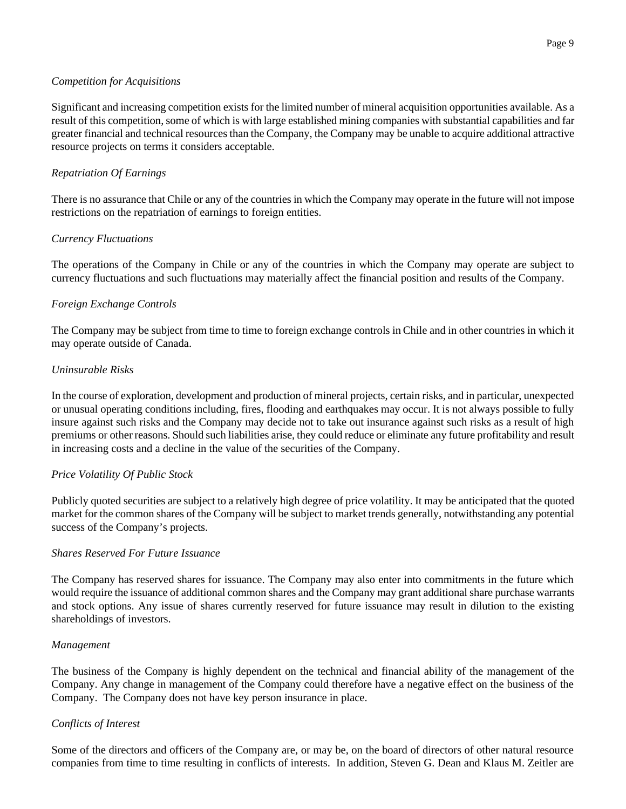### *Competition for Acquisitions*

Significant and increasing competition exists for the limited number of mineral acquisition opportunities available. As a result of this competition, some of which is with large established mining companies with substantial capabilities and far greater financial and technical resources than the Company, the Company may be unable to acquire additional attractive resource projects on terms it considers acceptable.

# *Repatriation Of Earnings*

There is no assurance that Chile or any of the countries in which the Company may operate in the future will not impose restrictions on the repatriation of earnings to foreign entities.

# *Currency Fluctuations*

The operations of the Company in Chile or any of the countries in which the Company may operate are subject to currency fluctuations and such fluctuations may materially affect the financial position and results of the Company.

# *Foreign Exchange Controls*

The Company may be subject from time to time to foreign exchange controls in Chile and in other countries in which it may operate outside of Canada.

## *Uninsurable Risks*

In the course of exploration, development and production of mineral projects, certain risks, and in particular, unexpected or unusual operating conditions including, fires, flooding and earthquakes may occur. It is not always possible to fully insure against such risks and the Company may decide not to take out insurance against such risks as a result of high premiums or other reasons. Should such liabilities arise, they could reduce or eliminate any future profitability and result in increasing costs and a decline in the value of the securities of the Company.

## *Price Volatility Of Public Stock*

Publicly quoted securities are subject to a relatively high degree of price volatility. It may be anticipated that the quoted market for the common shares of the Company will be subject to market trends generally, notwithstanding any potential success of the Company's projects.

## *Shares Reserved For Future Issuance*

The Company has reserved shares for issuance. The Company may also enter into commitments in the future which would require the issuance of additional common shares and the Company may grant additional share purchase warrants and stock options. Any issue of shares currently reserved for future issuance may result in dilution to the existing shareholdings of investors.

#### *Management*

The business of the Company is highly dependent on the technical and financial ability of the management of the Company. Any change in management of the Company could therefore have a negative effect on the business of the Company. The Company does not have key person insurance in place.

## *Conflicts of Interest*

Some of the directors and officers of the Company are, or may be, on the board of directors of other natural resource companies from time to time resulting in conflicts of interests. In addition, Steven G. Dean and Klaus M. Zeitler are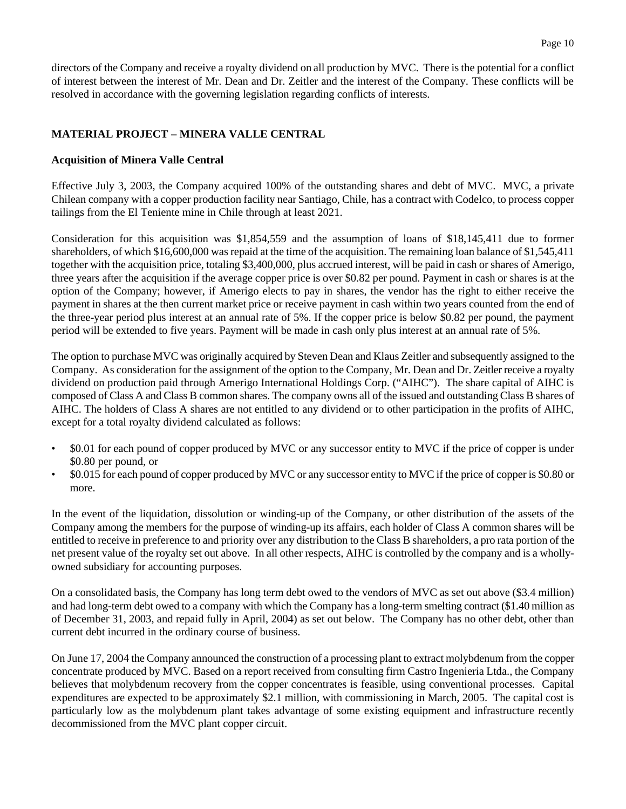directors of the Company and receive a royalty dividend on all production by MVC. There is the potential for a conflict of interest between the interest of Mr. Dean and Dr. Zeitler and the interest of the Company. These conflicts will be resolved in accordance with the governing legislation regarding conflicts of interests.

## **MATERIAL PROJECT – MINERA VALLE CENTRAL**

#### **Acquisition of Minera Valle Central**

Effective July 3, 2003, the Company acquired 100% of the outstanding shares and debt of MVC. MVC, a private Chilean company with a copper production facility near Santiago, Chile, has a contract with Codelco, to process copper tailings from the El Teniente mine in Chile through at least 2021.

Consideration for this acquisition was \$1,854,559 and the assumption of loans of \$18,145,411 due to former shareholders, of which \$16,600,000 was repaid at the time of the acquisition. The remaining loan balance of \$1,545,411 together with the acquisition price, totaling \$3,400,000, plus accrued interest, will be paid in cash or shares of Amerigo, three years after the acquisition if the average copper price is over \$0.82 per pound. Payment in cash or shares is at the option of the Company; however, if Amerigo elects to pay in shares, the vendor has the right to either receive the payment in shares at the then current market price or receive payment in cash within two years counted from the end of the three-year period plus interest at an annual rate of 5%. If the copper price is below \$0.82 per pound, the payment period will be extended to five years. Payment will be made in cash only plus interest at an annual rate of 5%.

The option to purchase MVC was originally acquired by Steven Dean and Klaus Zeitler and subsequently assigned to the Company. As consideration for the assignment of the option to the Company, Mr. Dean and Dr. Zeitler receive a royalty dividend on production paid through Amerigo International Holdings Corp. ("AIHC"). The share capital of AIHC is composed of Class A and Class B common shares. The company owns all of the issued and outstanding Class B shares of AIHC. The holders of Class A shares are not entitled to any dividend or to other participation in the profits of AIHC, except for a total royalty dividend calculated as follows:

- \$0.01 for each pound of copper produced by MVC or any successor entity to MVC if the price of copper is under \$0.80 per pound, or
- \$0.015 for each pound of copper produced by MVC or any successor entity to MVC if the price of copper is \$0.80 or more.

In the event of the liquidation, dissolution or winding-up of the Company, or other distribution of the assets of the Company among the members for the purpose of winding-up its affairs, each holder of Class A common shares will be entitled to receive in preference to and priority over any distribution to the Class B shareholders, a pro rata portion of the net present value of the royalty set out above. In all other respects, AIHC is controlled by the company and is a whollyowned subsidiary for accounting purposes.

On a consolidated basis, the Company has long term debt owed to the vendors of MVC as set out above (\$3.4 million) and had long-term debt owed to a company with which the Company has a long-term smelting contract (\$1.40 million as of December 31, 2003, and repaid fully in April, 2004) as set out below. The Company has no other debt, other than current debt incurred in the ordinary course of business.

On June 17, 2004 the Company announced the construction of a processing plant to extract molybdenum from the copper concentrate produced by MVC. Based on a report received from consulting firm Castro Ingenieria Ltda., the Company believes that molybdenum recovery from the copper concentrates is feasible, using conventional processes. Capital expenditures are expected to be approximately \$2.1 million, with commissioning in March, 2005. The capital cost is particularly low as the molybdenum plant takes advantage of some existing equipment and infrastructure recently decommissioned from the MVC plant copper circuit.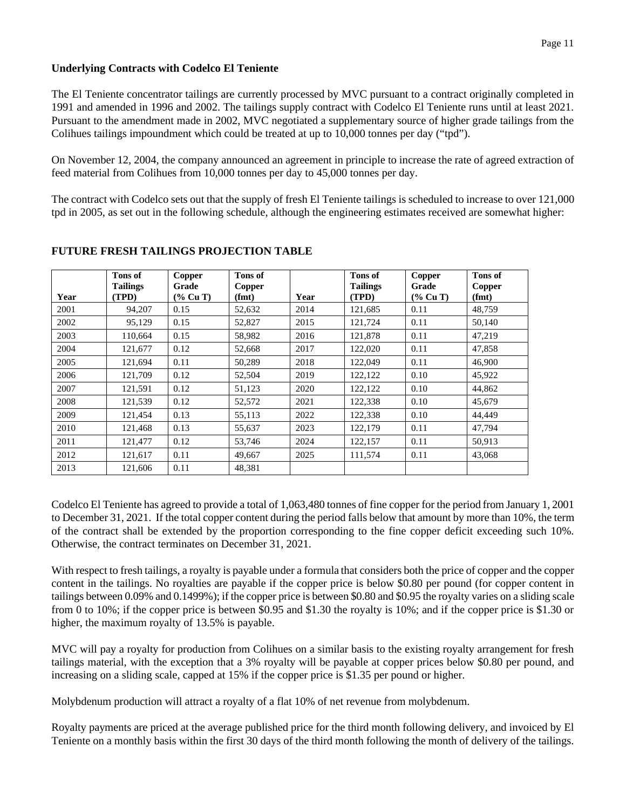### **Underlying Contracts with Codelco El Teniente**

The El Teniente concentrator tailings are currently processed by MVC pursuant to a contract originally completed in 1991 and amended in 1996 and 2002. The tailings supply contract with Codelco El Teniente runs until at least 2021. Pursuant to the amendment made in 2002, MVC negotiated a supplementary source of higher grade tailings from the Colihues tailings impoundment which could be treated at up to 10,000 tonnes per day ("tpd").

On November 12, 2004, the company announced an agreement in principle to increase the rate of agreed extraction of feed material from Colihues from 10,000 tonnes per day to 45,000 tonnes per day.

The contract with Codelco sets out that the supply of fresh El Teniente tailings is scheduled to increase to over 121,000 tpd in 2005, as set out in the following schedule, although the engineering estimates received are somewhat higher:

| Year | Tons of<br><b>Tailings</b><br>(TPD) | Copper<br>Grade<br>$(\%$ Cu T) | Tons of<br>Copper<br>(fmt) | Year | Tons of<br><b>Tailings</b><br>(TPD) | Copper<br>Grade<br>$(\%$ Cu T) | Tons of<br>Copper<br>(fmt) |
|------|-------------------------------------|--------------------------------|----------------------------|------|-------------------------------------|--------------------------------|----------------------------|
| 2001 | 94,207                              | 0.15                           | 52,632                     | 2014 | 121,685                             | 0.11                           | 48,759                     |
| 2002 | 95,129                              | 0.15                           | 52,827                     | 2015 | 121,724                             | 0.11                           | 50,140                     |
| 2003 | 110,664                             | 0.15                           | 58,982                     | 2016 | 121,878                             | 0.11                           | 47,219                     |
| 2004 | 121,677                             | 0.12                           | 52,668                     | 2017 | 122,020                             | 0.11                           | 47,858                     |
| 2005 | 121.694                             | 0.11                           | 50,289                     | 2018 | 122,049                             | 0.11                           | 46,900                     |
| 2006 | 121,709                             | 0.12                           | 52,504                     | 2019 | 122,122                             | 0.10                           | 45,922                     |
| 2007 | 121,591                             | 0.12                           | 51,123                     | 2020 | 122,122                             | 0.10                           | 44,862                     |
| 2008 | 121,539                             | 0.12                           | 52,572                     | 2021 | 122,338                             | 0.10                           | 45.679                     |
| 2009 | 121,454                             | 0.13                           | 55,113                     | 2022 | 122,338                             | 0.10                           | 44,449                     |
| 2010 | 121,468                             | 0.13                           | 55,637                     | 2023 | 122,179                             | 0.11                           | 47,794                     |
| 2011 | 121,477                             | 0.12                           | 53,746                     | 2024 | 122,157                             | 0.11                           | 50,913                     |
| 2012 | 121.617                             | 0.11                           | 49.667                     | 2025 | 111.574                             | 0.11                           | 43,068                     |
| 2013 | 121,606                             | 0.11                           | 48,381                     |      |                                     |                                |                            |

# **FUTURE FRESH TAILINGS PROJECTION TABLE**

Codelco El Teniente has agreed to provide a total of 1,063,480 tonnes of fine copper for the period from January 1, 2001 to December 31, 2021. If the total copper content during the period falls below that amount by more than 10%, the term of the contract shall be extended by the proportion corresponding to the fine copper deficit exceeding such 10%. Otherwise, the contract terminates on December 31, 2021.

With respect to fresh tailings, a royalty is payable under a formula that considers both the price of copper and the copper content in the tailings. No royalties are payable if the copper price is below \$0.80 per pound (for copper content in tailings between 0.09% and 0.1499%); if the copper price is between \$0.80 and \$0.95 the royalty varies on a sliding scale from 0 to 10%; if the copper price is between \$0.95 and \$1.30 the royalty is 10%; and if the copper price is \$1.30 or higher, the maximum royalty of 13.5% is payable.

MVC will pay a royalty for production from Colihues on a similar basis to the existing royalty arrangement for fresh tailings material, with the exception that a 3% royalty will be payable at copper prices below \$0.80 per pound, and increasing on a sliding scale, capped at 15% if the copper price is \$1.35 per pound or higher.

Molybdenum production will attract a royalty of a flat 10% of net revenue from molybdenum.

Royalty payments are priced at the average published price for the third month following delivery, and invoiced by El Teniente on a monthly basis within the first 30 days of the third month following the month of delivery of the tailings.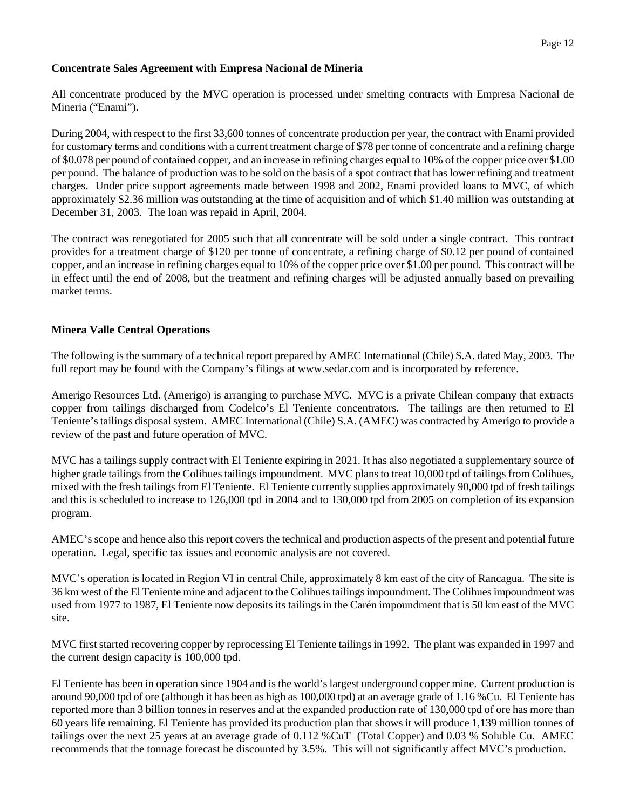### **Concentrate Sales Agreement with Empresa Nacional de Mineria**

All concentrate produced by the MVC operation is processed under smelting contracts with Empresa Nacional de Mineria ("Enami").

During 2004, with respect to the first 33,600 tonnes of concentrate production per year, the contract with Enami provided for customary terms and conditions with a current treatment charge of \$78 per tonne of concentrate and a refining charge of \$0.078 per pound of contained copper, and an increase in refining charges equal to 10% of the copper price over \$1.00 per pound. The balance of production was to be sold on the basis of a spot contract that has lower refining and treatment charges. Under price support agreements made between 1998 and 2002, Enami provided loans to MVC, of which approximately \$2.36 million was outstanding at the time of acquisition and of which \$1.40 million was outstanding at December 31, 2003. The loan was repaid in April, 2004.

The contract was renegotiated for 2005 such that all concentrate will be sold under a single contract. This contract provides for a treatment charge of \$120 per tonne of concentrate, a refining charge of \$0.12 per pound of contained copper, and an increase in refining charges equal to 10% of the copper price over \$1.00 per pound. This contract will be in effect until the end of 2008, but the treatment and refining charges will be adjusted annually based on prevailing market terms.

## **Minera Valle Central Operations**

The following is the summary of a technical report prepared by AMEC International (Chile) S.A. dated May, 2003. The full report may be found with the Company's filings at www.sedar.com and is incorporated by reference.

Amerigo Resources Ltd. (Amerigo) is arranging to purchase MVC. MVC is a private Chilean company that extracts copper from tailings discharged from Codelco's El Teniente concentrators. The tailings are then returned to El Teniente's tailings disposal system. AMEC International (Chile) S.A. (AMEC) was contracted by Amerigo to provide a review of the past and future operation of MVC.

MVC has a tailings supply contract with El Teniente expiring in 2021. It has also negotiated a supplementary source of higher grade tailings from the Colihues tailings impoundment. MVC plans to treat 10,000 tpd of tailings from Colihues, mixed with the fresh tailings from El Teniente. El Teniente currently supplies approximately 90,000 tpd of fresh tailings and this is scheduled to increase to 126,000 tpd in 2004 and to 130,000 tpd from 2005 on completion of its expansion program.

AMEC's scope and hence also this report covers the technical and production aspects of the present and potential future operation. Legal, specific tax issues and economic analysis are not covered.

MVC's operation is located in Region VI in central Chile, approximately 8 km east of the city of Rancagua. The site is 36 km west of the El Teniente mine and adjacent to the Colihues tailings impoundment. The Colihues impoundment was used from 1977 to 1987, El Teniente now deposits its tailings in the Carén impoundment that is 50 km east of the MVC site.

MVC first started recovering copper by reprocessing El Teniente tailings in 1992. The plant was expanded in 1997 and the current design capacity is 100,000 tpd.

El Teniente has been in operation since 1904 and is the world's largest underground copper mine. Current production is around 90,000 tpd of ore (although it has been as high as 100,000 tpd) at an average grade of 1.16 %Cu. El Teniente has reported more than 3 billion tonnes in reserves and at the expanded production rate of 130,000 tpd of ore has more than 60 years life remaining. El Teniente has provided its production plan that shows it will produce 1,139 million tonnes of tailings over the next 25 years at an average grade of 0.112 %CuT (Total Copper) and 0.03 % Soluble Cu. AMEC recommends that the tonnage forecast be discounted by 3.5%. This will not significantly affect MVC's production.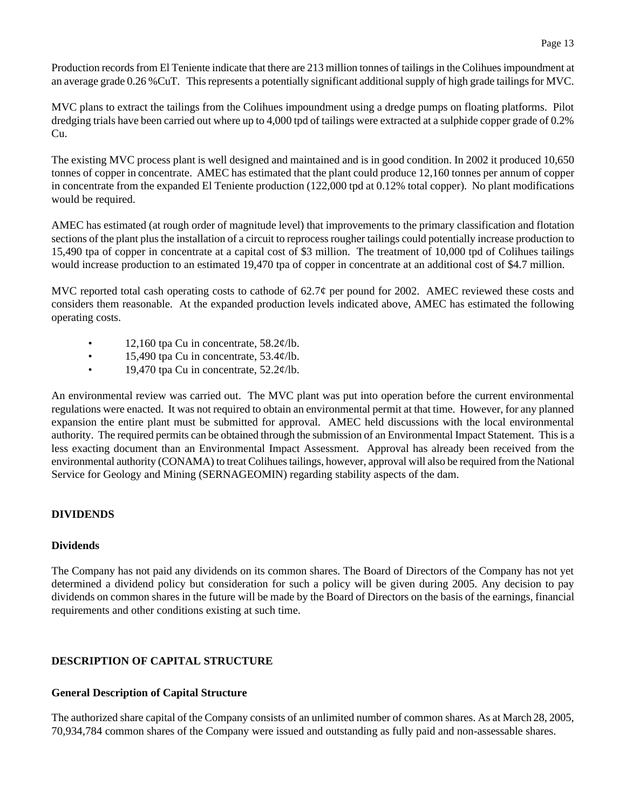Production records from El Teniente indicate that there are 213 million tonnes of tailings in the Colihues impoundment at an average grade 0.26 %CuT. This represents a potentially significant additional supply of high grade tailings for MVC.

MVC plans to extract the tailings from the Colihues impoundment using a dredge pumps on floating platforms. Pilot dredging trials have been carried out where up to 4,000 tpd of tailings were extracted at a sulphide copper grade of 0.2% Cu.

The existing MVC process plant is well designed and maintained and is in good condition. In 2002 it produced 10,650 tonnes of copper in concentrate. AMEC has estimated that the plant could produce 12,160 tonnes per annum of copper in concentrate from the expanded El Teniente production (122,000 tpd at 0.12% total copper). No plant modifications would be required.

AMEC has estimated (at rough order of magnitude level) that improvements to the primary classification and flotation sections of the plant plus the installation of a circuit to reprocess rougher tailings could potentially increase production to 15,490 tpa of copper in concentrate at a capital cost of \$3 million. The treatment of 10,000 tpd of Colihues tailings would increase production to an estimated 19,470 tpa of copper in concentrate at an additional cost of \$4.7 million.

MVC reported total cash operating costs to cathode of  $62.7\phi$  per pound for 2002. AMEC reviewed these costs and considers them reasonable. At the expanded production levels indicated above, AMEC has estimated the following operating costs.

- 12,160 tpa Cu in concentrate,  $58.2¢/lb$ .
- 15,490 tpa Cu in concentrate,  $53.4¢$ /lb.
- 19,470 tpa Cu in concentrate,  $52.2¢/lb$ .

An environmental review was carried out. The MVC plant was put into operation before the current environmental regulations were enacted. It was not required to obtain an environmental permit at that time. However, for any planned expansion the entire plant must be submitted for approval. AMEC held discussions with the local environmental authority. The required permits can be obtained through the submission of an Environmental Impact Statement. This is a less exacting document than an Environmental Impact Assessment. Approval has already been received from the environmental authority (CONAMA) to treat Colihues tailings, however, approval will also be required from the National Service for Geology and Mining (SERNAGEOMIN) regarding stability aspects of the dam.

# **DIVIDENDS**

## **Dividends**

The Company has not paid any dividends on its common shares. The Board of Directors of the Company has not yet determined a dividend policy but consideration for such a policy will be given during 2005. Any decision to pay dividends on common shares in the future will be made by the Board of Directors on the basis of the earnings, financial requirements and other conditions existing at such time.

## **DESCRIPTION OF CAPITAL STRUCTURE**

## **General Description of Capital Structure**

The authorized share capital of the Company consists of an unlimited number of common shares. As at March 28, 2005, 70,934,784 common shares of the Company were issued and outstanding as fully paid and non-assessable shares.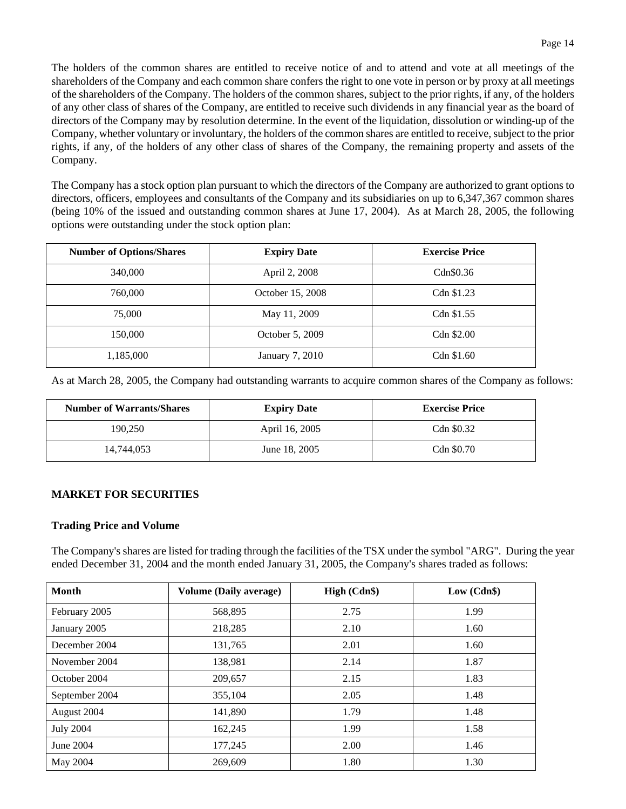The holders of the common shares are entitled to receive notice of and to attend and vote at all meetings of the shareholders of the Company and each common share confers the right to one vote in person or by proxy at all meetings of the shareholders of the Company. The holders of the common shares, subject to the prior rights, if any, of the holders of any other class of shares of the Company, are entitled to receive such dividends in any financial year as the board of directors of the Company may by resolution determine. In the event of the liquidation, dissolution or winding-up of the Company, whether voluntary or involuntary, the holders of the common shares are entitled to receive, subject to the prior rights, if any, of the holders of any other class of shares of the Company, the remaining property and assets of the Company.

The Company has a stock option plan pursuant to which the directors of the Company are authorized to grant options to directors, officers, employees and consultants of the Company and its subsidiaries on up to 6,347,367 common shares (being 10% of the issued and outstanding common shares at June 17, 2004). As at March 28, 2005, the following options were outstanding under the stock option plan:

| <b>Number of Options/Shares</b> | <b>Expiry Date</b> | <b>Exercise Price</b> |
|---------------------------------|--------------------|-----------------------|
| 340,000                         | April 2, 2008      | Cdn\$0.36             |
| 760,000                         | October 15, 2008   | Cdn \$1.23            |
| 75,000                          | May 11, 2009       | Cdn \$1.55            |
| 150,000                         | October 5, 2009    | Cdn \$2.00            |
| 1,185,000                       | January 7, 2010    | Cdn \$1.60            |

As at March 28, 2005, the Company had outstanding warrants to acquire common shares of the Company as follows:

| <b>Number of Warrants/Shares</b> | <b>Expiry Date</b> | <b>Exercise Price</b> |
|----------------------------------|--------------------|-----------------------|
| 190.250                          | April 16, 2005     | Cdn \$0.32            |
| 14.744.053                       | June 18, 2005      | Cdn \$0.70            |

#### **MARKET FOR SECURITIES**

#### **Trading Price and Volume**

The Company's shares are listed for trading through the facilities of the TSX under the symbol "ARG". During the year ended December 31, 2004 and the month ended January 31, 2005, the Company's shares traded as follows:

| Month            | <b>Volume (Daily average)</b> | High (Cdn\$) | Low (Cdn\$) |
|------------------|-------------------------------|--------------|-------------|
| February 2005    | 568,895                       | 2.75         | 1.99        |
| January 2005     | 218,285                       | 2.10         | 1.60        |
| December 2004    | 131,765                       | 2.01         | 1.60        |
| November 2004    | 138,981                       | 2.14         | 1.87        |
| October 2004     | 209,657                       | 2.15         | 1.83        |
| September 2004   | 355,104                       | 2.05         | 1.48        |
| August 2004      | 141,890                       | 1.79         | 1.48        |
| <b>July 2004</b> | 162,245                       | 1.99         | 1.58        |
| June 2004        | 177,245                       | 2.00         | 1.46        |
| May 2004         | 269,609                       | 1.80         | 1.30        |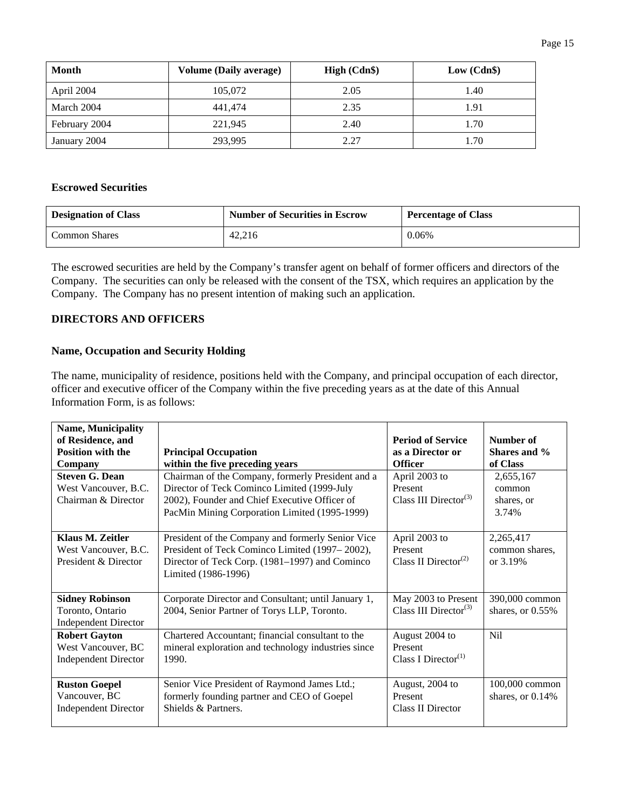| Month         | <b>Volume (Daily average)</b> | High (Cdn\$) | Low (Cdn\$) |
|---------------|-------------------------------|--------------|-------------|
| April 2004    | 105,072                       | 2.05         | 1.40        |
| March 2004    | 441,474                       | 2.35         | 1.91        |
| February 2004 | 221,945                       | 2.40         | 1.70        |
| January 2004  | 293,995                       | 2.27         | 1.70        |

## **Escrowed Securities**

| <b>Designation of Class</b> | <b>Number of Securities in Escrow</b> | <b>Percentage of Class</b> |
|-----------------------------|---------------------------------------|----------------------------|
| <b>Common Shares</b>        | 42.216                                | 0.06%                      |

The escrowed securities are held by the Company's transfer agent on behalf of former officers and directors of the Company. The securities can only be released with the consent of the TSX, which requires an application by the Company. The Company has no present intention of making such an application.

### **DIRECTORS AND OFFICERS**

### **Name, Occupation and Security Holding**

The name, municipality of residence, positions held with the Company, and principal occupation of each director, officer and executive officer of the Company within the five preceding years as at the date of this Annual Information Form, is as follows:

| <b>Name, Municipality</b><br>of Residence, and          |                                                     | <b>Period of Service</b>          | Number of        |
|---------------------------------------------------------|-----------------------------------------------------|-----------------------------------|------------------|
| <b>Position with the</b><br><b>Principal Occupation</b> |                                                     | as a Director or                  | Shares and %     |
| Company                                                 | within the five preceding years                     | <b>Officer</b>                    | of Class         |
| <b>Steven G. Dean</b>                                   | Chairman of the Company, formerly President and a   | April 2003 to                     | 2,655,167        |
| West Vancouver, B.C.                                    | Director of Teck Cominco Limited (1999-July         | Present                           | common           |
| Chairman & Director                                     | 2002), Founder and Chief Executive Officer of       | Class III Director <sup>(3)</sup> | shares, or       |
|                                                         | PacMin Mining Corporation Limited (1995-1999)       |                                   | 3.74%            |
|                                                         |                                                     |                                   |                  |
| Klaus M. Zeitler                                        | President of the Company and formerly Senior Vice   | April 2003 to                     | 2,265,417        |
| West Vancouver, B.C.                                    | President of Teck Cominco Limited (1997–2002),      | Present                           | common shares,   |
| President & Director                                    | Director of Teck Corp. (1981–1997) and Cominco      | Class II Director <sup>(2)</sup>  | or 3.19%         |
|                                                         | Limited (1986-1996)                                 |                                   |                  |
|                                                         |                                                     |                                   |                  |
| <b>Sidney Robinson</b>                                  | Corporate Director and Consultant; until January 1, | May 2003 to Present               | 390,000 common   |
| Toronto, Ontario                                        | 2004, Senior Partner of Torys LLP, Toronto.         | Class III Director <sup>(3)</sup> | shares, or 0.55% |
| <b>Independent Director</b>                             |                                                     |                                   |                  |
| <b>Robert Gayton</b>                                    | Chartered Accountant; financial consultant to the   | August 2004 to                    | Nil              |
| West Vancouver, BC                                      | mineral exploration and technology industries since | Present                           |                  |
| <b>Independent Director</b>                             | 1990.                                               | Class I Director <sup>(1)</sup>   |                  |
|                                                         |                                                     |                                   |                  |
| <b>Ruston Goepel</b>                                    | Senior Vice President of Raymond James Ltd.;        | August, 2004 to                   | 100,000 common   |
| Vancouver, BC                                           | formerly founding partner and CEO of Goepel         | Present                           | shares, or 0.14% |
| <b>Independent Director</b>                             | Shields & Partners.                                 | Class II Director                 |                  |
|                                                         |                                                     |                                   |                  |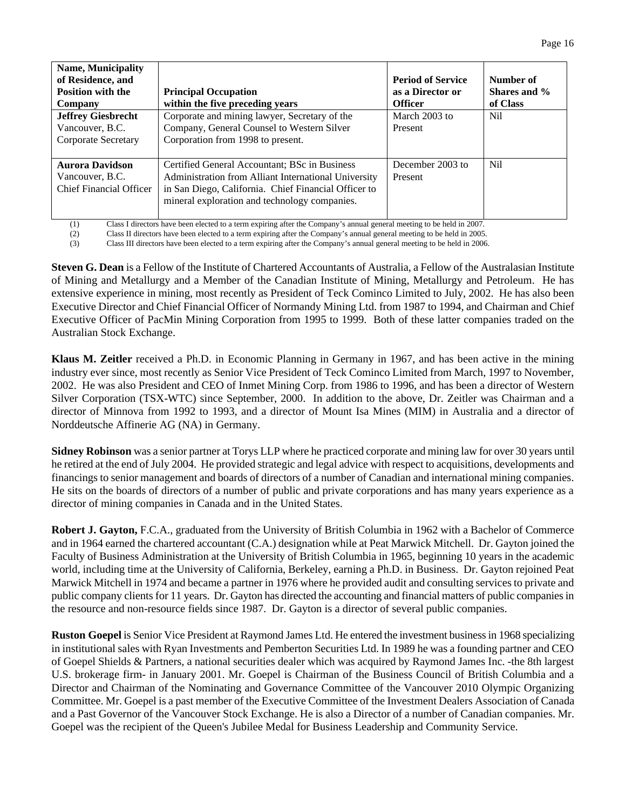| <b>Name, Municipality</b><br>of Residence, and<br><b>Position with the</b><br>Company<br><b>Jeffrey Giesbrecht</b><br>Vancouver, B.C.<br>Corporate Secretary | <b>Principal Occupation</b><br>within the five preceding years<br>Corporate and mining lawyer, Secretary of the<br>Company, General Counsel to Western Silver<br>Corporation from 1998 to present.             | <b>Period of Service</b><br>as a Director or<br><b>Officer</b><br>March 2003 to<br>Present | Number of<br>Shares and %<br>of Class<br>Nil. |
|--------------------------------------------------------------------------------------------------------------------------------------------------------------|----------------------------------------------------------------------------------------------------------------------------------------------------------------------------------------------------------------|--------------------------------------------------------------------------------------------|-----------------------------------------------|
| <b>Aurora Davidson</b><br>Vancouver, B.C.<br><b>Chief Financial Officer</b>                                                                                  | Certified General Accountant; BSc in Business<br>Administration from Alliant International University<br>in San Diego, California. Chief Financial Officer to<br>mineral exploration and technology companies. | December 2003 to<br>Present                                                                | N <sub>i</sub>                                |

(1) Class I directors have been elected to a term expiring after the Company's annual general meeting to be held in 2007.

(2) Class II directors have been elected to a term expiring after the Company's annual general meeting to be held in 2005.

(3) Class III directors have been elected to a term expiring after the Company's annual general meeting to be held in 2006.

**Steven G. Dean** is a Fellow of the Institute of Chartered Accountants of Australia, a Fellow of the Australasian Institute of Mining and Metallurgy and a Member of the Canadian Institute of Mining, Metallurgy and Petroleum. He has extensive experience in mining, most recently as President of Teck Cominco Limited to July, 2002. He has also been Executive Director and Chief Financial Officer of Normandy Mining Ltd. from 1987 to 1994, and Chairman and Chief Executive Officer of PacMin Mining Corporation from 1995 to 1999. Both of these latter companies traded on the Australian Stock Exchange.

**Klaus M. Zeitler** received a Ph.D. in Economic Planning in Germany in 1967, and has been active in the mining industry ever since, most recently as Senior Vice President of Teck Cominco Limited from March, 1997 to November, 2002. He was also President and CEO of Inmet Mining Corp. from 1986 to 1996, and has been a director of Western Silver Corporation (TSX-WTC) since September, 2000. In addition to the above, Dr. Zeitler was Chairman and a director of Minnova from 1992 to 1993, and a director of Mount Isa Mines (MIM) in Australia and a director of Norddeutsche Affinerie AG (NA) in Germany.

**Sidney Robinson** was a senior partner at Torys LLP where he practiced corporate and mining law for over 30 years until he retired at the end of July 2004. He provided strategic and legal advice with respect to acquisitions, developments and financings to senior management and boards of directors of a number of Canadian and international mining companies. He sits on the boards of directors of a number of public and private corporations and has many years experience as a director of mining companies in Canada and in the United States.

**Robert J. Gayton,** F.C.A., graduated from the University of British Columbia in 1962 with a Bachelor of Commerce and in 1964 earned the chartered accountant (C.A.) designation while at Peat Marwick Mitchell. Dr. Gayton joined the Faculty of Business Administration at the University of British Columbia in 1965, beginning 10 years in the academic world, including time at the University of California, Berkeley, earning a Ph.D. in Business. Dr. Gayton rejoined Peat Marwick Mitchell in 1974 and became a partner in 1976 where he provided audit and consulting services to private and public company clients for 11 years. Dr. Gayton has directed the accounting and financial matters of public companies in the resource and non-resource fields since 1987. Dr. Gayton is a director of several public companies.

**Ruston Goepel** is Senior Vice President at Raymond James Ltd. He entered the investment business in 1968 specializing in institutional sales with Ryan Investments and Pemberton Securities Ltd. In 1989 he was a founding partner and CEO of Goepel Shields & Partners, a national securities dealer which was acquired by Raymond James Inc. -the 8th largest U.S. brokerage firm- in January 2001. Mr. Goepel is Chairman of the Business Council of British Columbia and a Director and Chairman of the Nominating and Governance Committee of the Vancouver 2010 Olympic Organizing Committee. Mr. Goepel is a past member of the Executive Committee of the Investment Dealers Association of Canada and a Past Governor of the Vancouver Stock Exchange. He is also a Director of a number of Canadian companies. Mr. Goepel was the recipient of the Queen's Jubilee Medal for Business Leadership and Community Service.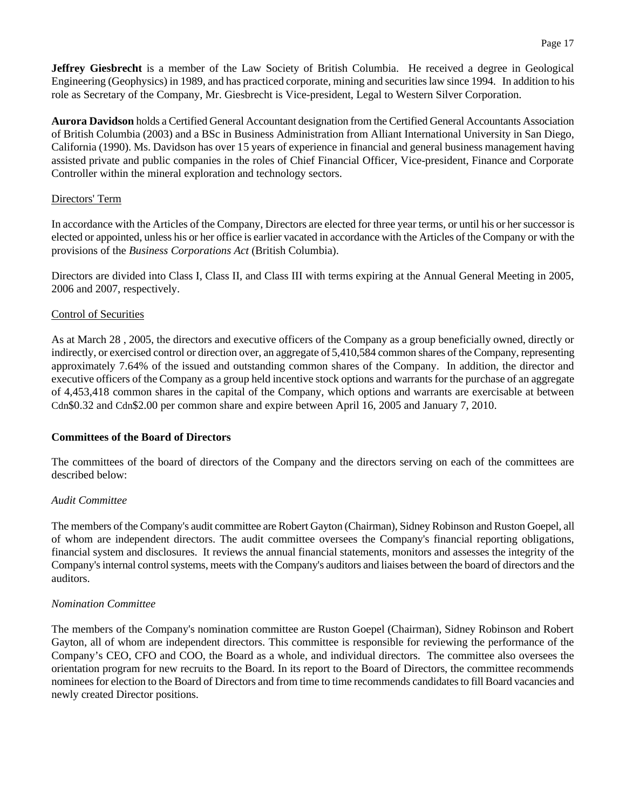**Jeffrey Giesbrecht** is a member of the Law Society of British Columbia. He received a degree in Geological Engineering (Geophysics) in 1989, and has practiced corporate, mining and securities law since 1994. In addition to his role as Secretary of the Company, Mr. Giesbrecht is Vice-president, Legal to Western Silver Corporation.

**Aurora Davidson** holds a Certified General Accountant designation from the Certified General Accountants Association of British Columbia (2003) and a BSc in Business Administration from Alliant International University in San Diego, California (1990). Ms. Davidson has over 15 years of experience in financial and general business management having assisted private and public companies in the roles of Chief Financial Officer, Vice-president, Finance and Corporate Controller within the mineral exploration and technology sectors.

#### Directors' Term

In accordance with the Articles of the Company, Directors are elected for three year terms, or until his or her successor is elected or appointed, unless his or her office is earlier vacated in accordance with the Articles of the Company or with the provisions of the *Business Corporations Act* (British Columbia).

Directors are divided into Class I, Class II, and Class III with terms expiring at the Annual General Meeting in 2005, 2006 and 2007, respectively.

#### Control of Securities

As at March 28 , 2005, the directors and executive officers of the Company as a group beneficially owned, directly or indirectly, or exercised control or direction over, an aggregate of 5,410,584 common shares of the Company, representing approximately 7.64% of the issued and outstanding common shares of the Company. In addition, the director and executive officers of the Company as a group held incentive stock options and warrants for the purchase of an aggregate of 4,453,418 common shares in the capital of the Company, which options and warrants are exercisable at between Cdn\$0.32 and Cdn\$2.00 per common share and expire between April 16, 2005 and January 7, 2010.

#### **Committees of the Board of Directors**

The committees of the board of directors of the Company and the directors serving on each of the committees are described below:

#### *Audit Committee*

The members of the Company's audit committee are Robert Gayton (Chairman), Sidney Robinson and Ruston Goepel, all of whom are independent directors. The audit committee oversees the Company's financial reporting obligations, financial system and disclosures. It reviews the annual financial statements, monitors and assesses the integrity of the Company's internal control systems, meets with the Company's auditors and liaises between the board of directors and the auditors.

#### *Nomination Committee*

The members of the Company's nomination committee are Ruston Goepel (Chairman), Sidney Robinson and Robert Gayton, all of whom are independent directors. This committee is responsible for reviewing the performance of the Company's CEO, CFO and COO, the Board as a whole, and individual directors. The committee also oversees the orientation program for new recruits to the Board. In its report to the Board of Directors, the committee recommends nominees for election to the Board of Directors and from time to time recommends candidates to fill Board vacancies and newly created Director positions.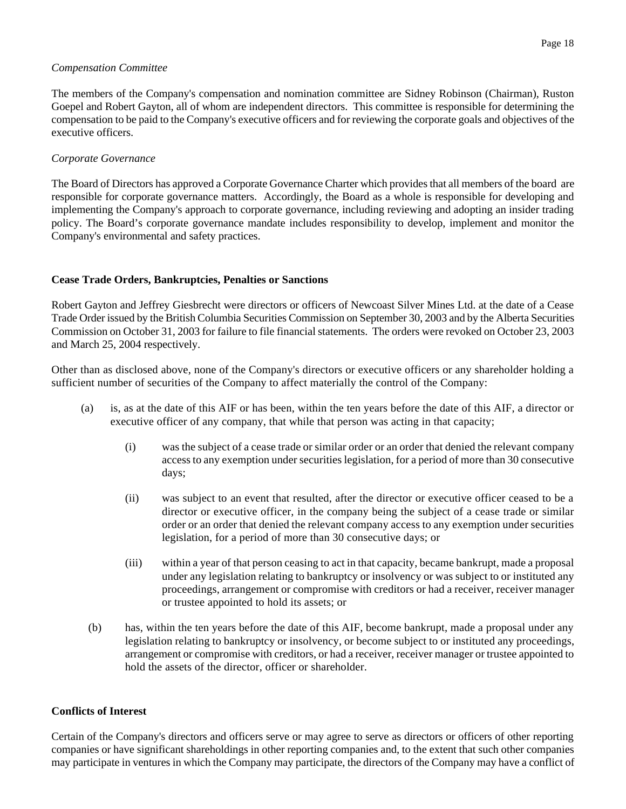#### *Compensation Committee*

The members of the Company's compensation and nomination committee are Sidney Robinson (Chairman), Ruston Goepel and Robert Gayton, all of whom are independent directors. This committee is responsible for determining the compensation to be paid to the Company's executive officers and for reviewing the corporate goals and objectives of the executive officers.

#### *Corporate Governance*

The Board of Directors has approved a Corporate Governance Charter which provides that all members of the board are responsible for corporate governance matters. Accordingly, the Board as a whole is responsible for developing and implementing the Company's approach to corporate governance, including reviewing and adopting an insider trading policy. The Board's corporate governance mandate includes responsibility to develop, implement and monitor the Company's environmental and safety practices.

#### **Cease Trade Orders, Bankruptcies, Penalties or Sanctions**

Robert Gayton and Jeffrey Giesbrecht were directors or officers of Newcoast Silver Mines Ltd. at the date of a Cease Trade Order issued by the British Columbia Securities Commission on September 30, 2003 and by the Alberta Securities Commission on October 31, 2003 for failure to file financial statements. The orders were revoked on October 23, 2003 and March 25, 2004 respectively.

Other than as disclosed above, none of the Company's directors or executive officers or any shareholder holding a sufficient number of securities of the Company to affect materially the control of the Company:

- (a) is, as at the date of this AIF or has been, within the ten years before the date of this AIF, a director or executive officer of any company, that while that person was acting in that capacity;
	- (i) was the subject of a cease trade or similar order or an order that denied the relevant company access to any exemption under securities legislation, for a period of more than 30 consecutive days;
	- (ii) was subject to an event that resulted, after the director or executive officer ceased to be a director or executive officer, in the company being the subject of a cease trade or similar order or an order that denied the relevant company access to any exemption under securities legislation, for a period of more than 30 consecutive days; or
	- (iii) within a year of that person ceasing to act in that capacity, became bankrupt, made a proposal under any legislation relating to bankruptcy or insolvency or was subject to or instituted any proceedings, arrangement or compromise with creditors or had a receiver, receiver manager or trustee appointed to hold its assets; or
	- (b) has, within the ten years before the date of this AIF, become bankrupt, made a proposal under any legislation relating to bankruptcy or insolvency, or become subject to or instituted any proceedings, arrangement or compromise with creditors, or had a receiver, receiver manager or trustee appointed to hold the assets of the director, officer or shareholder.

#### **Conflicts of Interest**

Certain of the Company's directors and officers serve or may agree to serve as directors or officers of other reporting companies or have significant shareholdings in other reporting companies and, to the extent that such other companies may participate in ventures in which the Company may participate, the directors of the Company may have a conflict of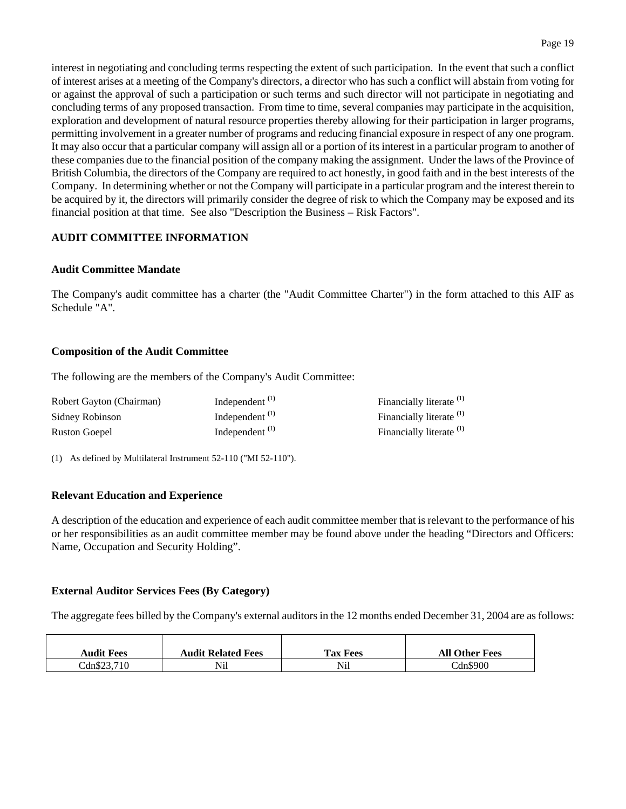interest in negotiating and concluding terms respecting the extent of such participation. In the event that such a conflict of interest arises at a meeting of the Company's directors, a director who has such a conflict will abstain from voting for or against the approval of such a participation or such terms and such director will not participate in negotiating and concluding terms of any proposed transaction. From time to time, several companies may participate in the acquisition, exploration and development of natural resource properties thereby allowing for their participation in larger programs, permitting involvement in a greater number of programs and reducing financial exposure in respect of any one program. It may also occur that a particular company will assign all or a portion of its interest in a particular program to another of these companies due to the financial position of the company making the assignment. Under the laws of the Province of British Columbia, the directors of the Company are required to act honestly, in good faith and in the best interests of the Company. In determining whether or not the Company will participate in a particular program and the interest therein to be acquired by it, the directors will primarily consider the degree of risk to which the Company may be exposed and its financial position at that time. See also "Description the Business – Risk Factors".

## **AUDIT COMMITTEE INFORMATION**

#### **Audit Committee Mandate**

The Company's audit committee has a charter (the "Audit Committee Charter") in the form attached to this AIF as Schedule "A".

#### **Composition of the Audit Committee**

The following are the members of the Company's Audit Committee:

| Robert Gayton (Chairman) | Independent $^{(1)}$ | Financially literate <sup>(1)</sup> |
|--------------------------|----------------------|-------------------------------------|
| Sidney Robinson          | Independent $(1)$    | Financially literate <sup>(1)</sup> |
| Ruston Goepel            | Independent $(1)$    | Financially literate <sup>(1)</sup> |

(1) As defined by Multilateral Instrument 52-110 ("MI 52-110").

#### **Relevant Education and Experience**

A description of the education and experience of each audit committee member that is relevant to the performance of his or her responsibilities as an audit committee member may be found above under the heading "Directors and Officers: Name, Occupation and Security Holding".

#### **External Auditor Services Fees (By Category)**

The aggregate fees billed by the Company's external auditors in the 12 months ended December 31, 2004 are as follows:

| <b>Audit Fees</b> | <b>Audit Related Fees</b> | <b>Tax Fees</b> | <b>All Other Fees</b> |
|-------------------|---------------------------|-----------------|-----------------------|
| Cans23,710        | Nil                       | Nil             | $Can$ \$900           |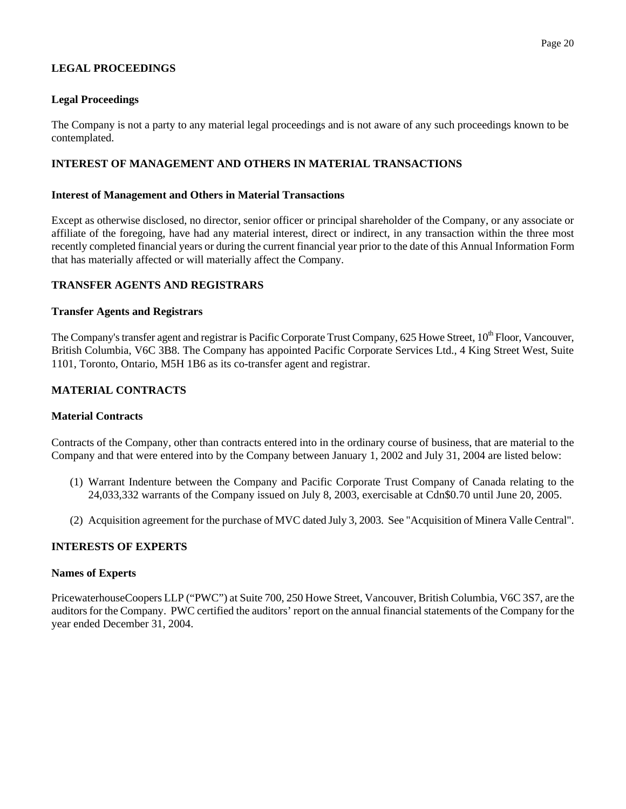# **LEGAL PROCEEDINGS**

## **Legal Proceedings**

The Company is not a party to any material legal proceedings and is not aware of any such proceedings known to be contemplated.

## **INTEREST OF MANAGEMENT AND OTHERS IN MATERIAL TRANSACTIONS**

#### **Interest of Management and Others in Material Transactions**

Except as otherwise disclosed, no director, senior officer or principal shareholder of the Company, or any associate or affiliate of the foregoing, have had any material interest, direct or indirect, in any transaction within the three most recently completed financial years or during the current financial year prior to the date of this Annual Information Form that has materially affected or will materially affect the Company.

### **TRANSFER AGENTS AND REGISTRARS**

### **Transfer Agents and Registrars**

The Company's transfer agent and registrar is Pacific Corporate Trust Company, 625 Howe Street, 10<sup>th</sup> Floor, Vancouver, British Columbia, V6C 3B8. The Company has appointed Pacific Corporate Services Ltd., 4 King Street West, Suite 1101, Toronto, Ontario, M5H 1B6 as its co-transfer agent and registrar.

### **MATERIAL CONTRACTS**

#### **Material Contracts**

Contracts of the Company, other than contracts entered into in the ordinary course of business, that are material to the Company and that were entered into by the Company between January 1, 2002 and July 31, 2004 are listed below:

- (1) Warrant Indenture between the Company and Pacific Corporate Trust Company of Canada relating to the 24,033,332 warrants of the Company issued on July 8, 2003, exercisable at Cdn\$0.70 until June 20, 2005.
- (2) Acquisition agreement for the purchase of MVC dated July 3, 2003. See "Acquisition of Minera Valle Central".

### **INTERESTS OF EXPERTS**

#### **Names of Experts**

PricewaterhouseCoopers LLP ("PWC") at Suite 700, 250 Howe Street, Vancouver, British Columbia, V6C 3S7, are the auditors for the Company. PWC certified the auditors' report on the annual financial statements of the Company for the year ended December 31, 2004.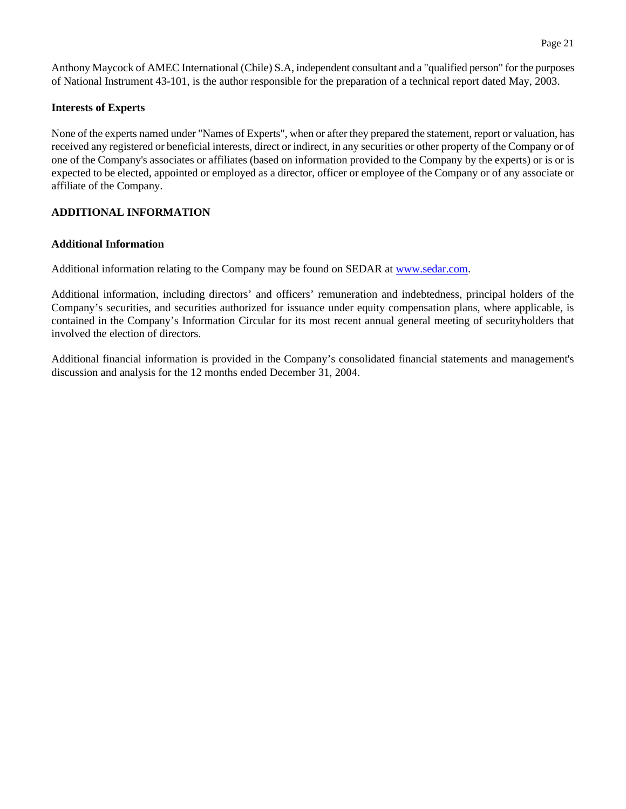Anthony Maycock of AMEC International (Chile) S.A, independent consultant and a "qualified person" for the purposes of National Instrument 43-101, is the author responsible for the preparation of a technical report dated May, 2003.

#### **Interests of Experts**

None of the experts named under "Names of Experts", when or after they prepared the statement, report or valuation, has received any registered or beneficial interests, direct or indirect, in any securities or other property of the Company or of one of the Company's associates or affiliates (based on information provided to the Company by the experts) or is or is expected to be elected, appointed or employed as a director, officer or employee of the Company or of any associate or affiliate of the Company.

## **ADDITIONAL INFORMATION**

### **Additional Information**

Additional information relating to the Company may be found on SEDAR at www.sedar.com.

Additional information, including directors' and officers' remuneration and indebtedness, principal holders of the Company's securities, and securities authorized for issuance under equity compensation plans, where applicable, is contained in the Company's Information Circular for its most recent annual general meeting of securityholders that involved the election of directors.

Additional financial information is provided in the Company's consolidated financial statements and management's discussion and analysis for the 12 months ended December 31, 2004.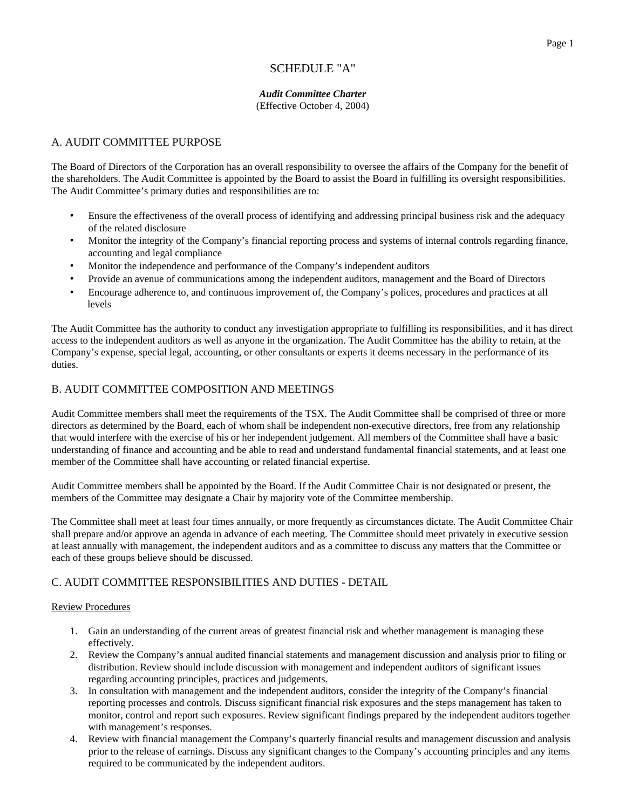# SCHEDULE "A"

#### *Audit Committee Charter* (Effective October 4, 2004)

#### A. AUDIT COMMITTEE PURPOSE

The Board of Directors of the Corporation has an overall responsibility to oversee the affairs of the Company for the benefit of the shareholders. The Audit Committee is appointed by the Board to assist the Board in fulfilling its oversight responsibilities. The Audit Committee's primary duties and responsibilities are to:

- Ensure the effectiveness of the overall process of identifying and addressing principal business risk and the adequacy of the related disclosure
- Monitor the integrity of the Company's financial reporting process and systems of internal controls regarding finance, accounting and legal compliance
- Monitor the independence and performance of the Company's independent auditors
- Provide an avenue of communications among the independent auditors, management and the Board of Directors
- Encourage adherence to, and continuous improvement of, the Company's polices, procedures and practices at all levels

The Audit Committee has the authority to conduct any investigation appropriate to fulfilling its responsibilities, and it has direct access to the independent auditors as well as anyone in the organization. The Audit Committee has the ability to retain, at the Company's expense, special legal, accounting, or other consultants or experts it deems necessary in the performance of its duties.

#### B. AUDIT COMMITTEE COMPOSITION AND MEETINGS

Audit Committee members shall meet the requirements of the TSX. The Audit Committee shall be comprised of three or more directors as determined by the Board, each of whom shall be independent non-executive directors, free from any relationship that would interfere with the exercise of his or her independent judgement. All members of the Committee shall have a basic understanding of finance and accounting and be able to read and understand fundamental financial statements, and at least one member of the Committee shall have accounting or related financial expertise.

Audit Committee members shall be appointed by the Board. If the Audit Committee Chair is not designated or present, the members of the Committee may designate a Chair by majority vote of the Committee membership.

The Committee shall meet at least four times annually, or more frequently as circumstances dictate. The Audit Committee Chair shall prepare and/or approve an agenda in advance of each meeting. The Committee should meet privately in executive session at least annually with management, the independent auditors and as a committee to discuss any matters that the Committee or each of these groups believe should be discussed.

#### C. AUDIT COMMITTEE RESPONSIBILITIES AND DUTIES - DETAIL

#### Review Procedures

- 1. Gain an understanding of the current areas of greatest financial risk and whether management is managing these effectively.
- 2. Review the Company's annual audited financial statements and management discussion and analysis prior to filing or distribution. Review should include discussion with management and independent auditors of significant issues regarding accounting principles, practices and judgements.
- 3. In consultation with management and the independent auditors, consider the integrity of the Company's financial reporting processes and controls. Discuss significant financial risk exposures and the steps management has taken to monitor, control and report such exposures. Review significant findings prepared by the independent auditors together with management's responses.
- 4. Review with financial management the Company's quarterly financial results and management discussion and analysis prior to the release of earnings. Discuss any significant changes to the Company's accounting principles and any items required to be communicated by the independent auditors.